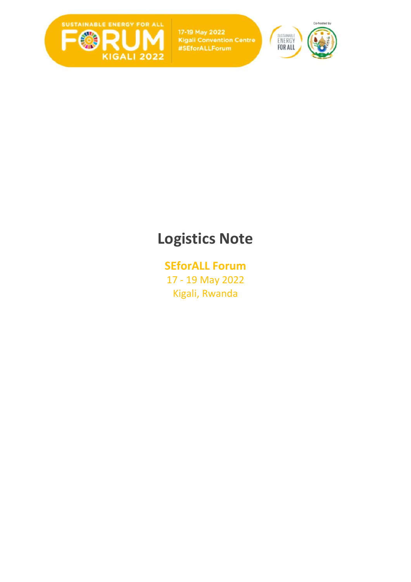

17-19 May 2022 **Kigali Convention Centre** #SEforALLForum



# **Logistics Note**

# **SEforALL Forum** 17 - 19 May 2022 Kigali, Rwanda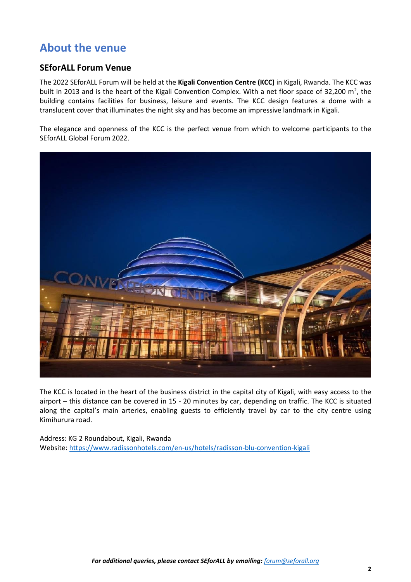# **About the venue**

### **SEforALL Forum Venue**

The 2022 SEforALL Forum will be held at the **Kigali Convention Centre (KCC)** in Kigali, Rwanda. The KCC was built in 2013 and is the heart of the Kigali Convention Complex. With a net floor space of 32,200 m<sup>2</sup>, the building contains facilities for business, leisure and events. The KCC design features a dome with a translucent cover that illuminates the night sky and has become an impressive landmark in Kigali.

The elegance and openness of the KCC is the perfect venue from which to welcome participants to the SEforALL Global Forum 2022.



The KCC is located in the heart of the business district in the capital city of Kigali, with easy access to the airport – this distance can be covered in 15 - 20 minutes by car, depending on traffic. The KCC is situated along the capital's main arteries, enabling guests to efficiently travel by car to the city centre using Kimihurura road.

Address: KG 2 Roundabout, Kigali, Rwanda Website:<https://www.radissonhotels.com/en-us/hotels/radisson-blu-convention-kigali>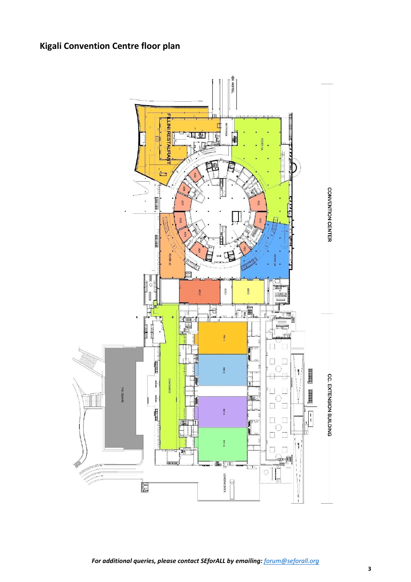# **Kigali Convention Centre floor plan**

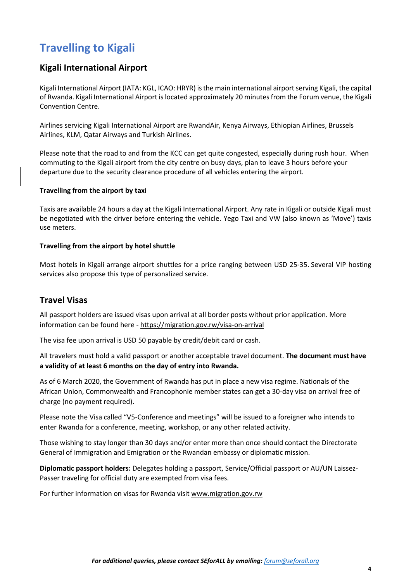# **Travelling to Kigali**

### **Kigali International Airport**

Kigali International Airport (IATA: KGL, ICAO: HRYR) is the main international airport serving Kigali, the capital of Rwanda. Kigali International Airport is located approximately 20 minutes from the Forum venue, the Kigali Convention Centre.

Airlines servicing Kigali International Airport are RwandAir, Kenya Airways, Ethiopian Airlines, Brussels Airlines, KLM, Qatar Airways and Turkish Airlines.

Please note that the road to and from the KCC can get quite congested, especially during rush hour. When commuting to the Kigali airport from the city centre on busy days, plan to leave 3 hours before your departure due to the security clearance procedure of all vehicles entering the airport.

#### **Travelling from the airport by taxi**

Taxis are available 24 hours a day at the Kigali International Airport. Any rate in Kigali or outside Kigali must be negotiated with the driver before entering the vehicle. Yego Taxi and VW (also known as 'Move') taxis use meters.

#### **Travelling from the airport by hotel shuttle**

Most hotels in Kigali arrange airport shuttles for a price ranging [between](https://www.aeroport-kigali.com/en/int/booking/airport_shuttles.php?lg=en) USD 25-35. Several VIP hosting services also propose this type of [personalized](https://www.aeroport-kigali.com/en/int/booking/airport_shuttles.php?lg=en) service.

#### **Travel Visas**

All passport holders are issued visas upon arrival at all border posts without prior application. More information can be found here - <https://migration.gov.rw/visa-on-arrival>

The visa fee upon arrival is USD 50 payable by credit/debit card or cash.

All travelers must hold a valid passport or another acceptable travel document. **The document must have a validity of at least 6 months on the day of entry into Rwanda.**

As of 6 March 2020, the Government of Rwanda has put in place [a new visa regime.](https://migration.gov.rw/fileadmin/user_upload/pdf_files/rwanda_s_new_visa_regine_-_final_final2.pdf) Nationals of the African Union, Commonwealth and Francophonie member states can get a 30-day visa on arrival free of charge (no payment required).

Please note the Visa called "V5-Conference and meetings" will be issued to a foreigner who intends to enter Rwanda for a conference, meeting, workshop, or any other related activity.

Those wishing to stay longer than 30 days and/or enter more than once should contact the Directorate General of Immigration and Emigration or the Rwandan embassy or diplomatic mission.

**Diplomatic passport holders:** Delegates holding a passport, Service/Official passport or AU/UN Laissez-Passer traveling for official duty are exempted from visa fees.

For further information on visas for Rwanda visit [www.migration.gov.rw](http://www.migration.gov.rw/)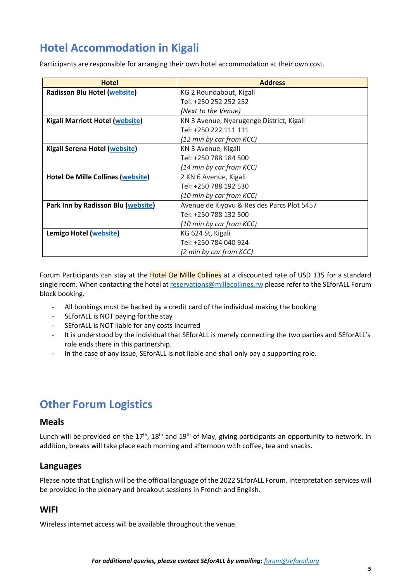# **Hotel Accommodation in Kigali**

Participants are responsible for arranging their own hotel accommodation at their own cost.

| <b>Hotel</b>                             | <b>Address</b>                             |  |
|------------------------------------------|--------------------------------------------|--|
| <b>Radisson Blu Hotel (website)</b>      | KG 2 Roundabout, Kigali                    |  |
|                                          | Tel: +250 252 252 252                      |  |
|                                          | (Next to the Venue)                        |  |
| <b>Kigali Marriott Hotel (website)</b>   | KN 3 Avenue, Nyarugenge District, Kigali   |  |
|                                          | Tel: +250 222 111 111                      |  |
|                                          | (12 min by car from KCC)                   |  |
| Kigali Serena Hotel (website)            | KN 3 Avenue, Kigali                        |  |
|                                          | Tel: +250 788 184 500                      |  |
|                                          | (14 min by car from KCC)                   |  |
| <b>Hotel De Mille Collines (website)</b> | 2 KN 6 Avenue, Kigali                      |  |
|                                          | Tel: +250 788 192 530                      |  |
|                                          | (10 min by car from KCC)                   |  |
| Park Inn by Radisson Blu (website)       | Avenue de Kiyovu & Res des Parcs Plot 5457 |  |
|                                          | Tel: +250 788 132 500                      |  |
|                                          | (10 min by car from KCC)                   |  |
| Lemigo Hotel (website)                   | KG 624 St, Kigali                          |  |
|                                          | Tel: +250 784 040 924                      |  |
|                                          | (2 min by car from KCC)                    |  |

Forum Participants can stay at the Hotel De Mille Collines at a discounted rate of USD 135 for a standard single room. When contacting the hotel a[t reservations@millecollines.rw](mailto:reservations@millecollines.rw) please refer to the SEforALL Forum block booking.

- All bookings must be backed by a credit card of the individual making the booking
- SEforALL is NOT paying for the stay
- SEforALL is NOT liable for any costs incurred
- It is understood by the individual that SEforALL is merely connecting the two parties and SEforALL's role ends there in this partnership.
- In the case of any issue, SEforALL is not liable and shall only pay a supporting role.

# **Other Forum Logistics**

#### **Meals**

Lunch will be provided on the 17<sup>th</sup>, 18<sup>th</sup> and 19<sup>th</sup> of May, giving participants an opportunity to network. In addition, breaks will take place each morning and afternoon with coffee, tea and snacks.

#### **Languages**

Please note that English will be the official language of the 2022 SEforALL Forum. Interpretation services will be provided in the plenary and breakout sessions in French and English.

#### **WIFI**

Wireless internet access will be available throughout the venue.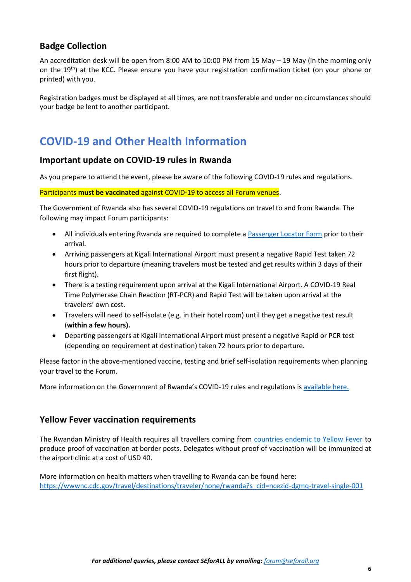### **Badge Collection**

An accreditation desk will be open from 8:00 AM to 10:00 PM from 15 May – 19 May (in the morning only on the 19<sup>th</sup>) at the KCC. Please ensure you have your registration confirmation ticket (on your phone or printed) with you.

Registration badges must be displayed at all times, are not transferable and under no circumstances should your badge be lent to another participant.

# **COVID-19 and Other Health Information**

#### **Important update on COVID-19 rules in Rwanda**

As you prepare to attend the event, please be aware of the following COVID-19 rules and regulations.

Participants **must be vaccinated** against COVID-19 to access all Forum venues.

The Government of Rwanda also has several COVID-19 regulations on travel to and from Rwanda. The following may impact Forum participants:

- All individuals entering Rwanda are required to complete a [Passenger Locator Form](https://travel.rbc.gov.rw/travel/) prior to their arrival.
- Arriving passengers at Kigali International Airport must present a negative Rapid Test taken 72 hours prior to departure (meaning travelers must be tested and get results within 3 days of their first flight).
- There is a testing requirement upon arrival at the Kigali International Airport. A COVID-19 Real Time Polymerase Chain Reaction (RT-PCR) and Rapid Test will be taken upon arrival at the travelers' own cost.
- Travelers will need to self-isolate (e.g. in their hotel room) until they get a negative test result (**within a few hours).**
- Departing passengers at Kigali International Airport must present a negative Rapid or PCR test (depending on requirement at destination) taken 72 hours prior to departure.

Please factor in the above-mentioned vaccine, testing and brief self-isolation requirements when planning your travel to the Forum.

More information on the Government of Rwanda's COVID-19 rules and regulations i[s available here.](https://www.rbc.gov.rw/index.php?id=745)

#### **Yellow Fever vaccination requirements**

The Rwandan Ministry of Health requires all travellers coming from [countries endemic to Yellow Fever](https://wwwnc.cdc.gov/travel/yellowbook/2020/travel-related-infectious-diseases/yellow-fever) to produce proof of vaccination at border posts. Delegates without proof of vaccination will be immunized at the airport clinic at a cost of USD 40.

More information on health matters when travelling to Rwanda can be found here: [https://wwwnc.cdc.gov/travel/destinations/traveler/none/rwanda?s\\_cid=ncezid-dgmq-travel-single-001](https://wwwnc.cdc.gov/travel/destinations/traveler/none/rwanda?s_cid=ncezid-dgmq-travel-single-001)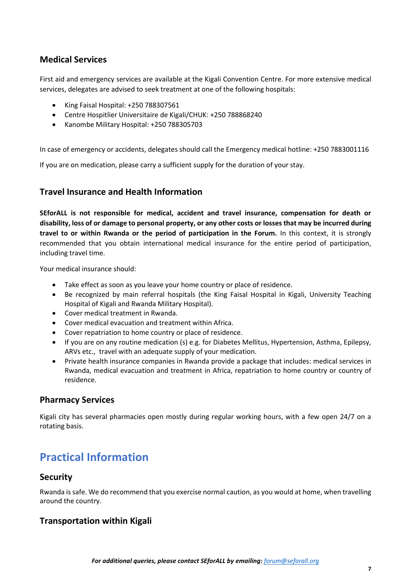## **Medical Services**

First aid and emergency services are available at the Kigali Convention Centre. For more extensive medical services, delegates are advised to seek treatment at one of the following hospitals:

- King Faisal Hospital: +250 788307561
- Centre Hospitlier Universitaire de Kigali/CHUK: +250 788868240
- Kanombe Military Hospital: +250 788305703

In case of emergency or accidents, delegates should call the Emergency medical hotline: +250 7883001116

If you are on medication, please carry a sufficient supply for the duration of your stay.

#### **Travel Insurance and Health Information**

**SEforALL is not responsible for medical, accident and travel insurance, compensation for death or disability, loss of or damage to personal property, or any other costs or losses that may be incurred during travel to or within Rwanda or the period of participation in the Forum.** In this context, it is strongly recommended that you obtain international medical insurance for the entire period of participation, including travel time.

Your medical insurance should:

- Take effect as soon as you leave your home country or place of residence.
- Be recognized by main referral hospitals (the King Faisal Hospital in Kigali, University Teaching Hospital of Kigali and Rwanda Military Hospital).
- Cover medical treatment in Rwanda.
- Cover medical evacuation and treatment within Africa.
- Cover repatriation to home country or place of residence.
- If you are on any routine medication (s) e.g. for Diabetes Mellitus, Hypertension, Asthma, Epilepsy, ARVs etc., travel with an adequate supply of your medication.
- Private health insurance companies in Rwanda provide a package that includes: medical services in Rwanda, medical evacuation and treatment in Africa, repatriation to home country or country of residence.

#### **Pharmacy Services**

Kigali city has several pharmacies open mostly during regular working hours, with a few open 24/7 on a rotating basis.

# **Practical Information**

#### **Security**

Rwanda is safe. We do recommend that you exercise normal caution, as you would at home, when travelling around the country.

#### **Transportation within Kigali**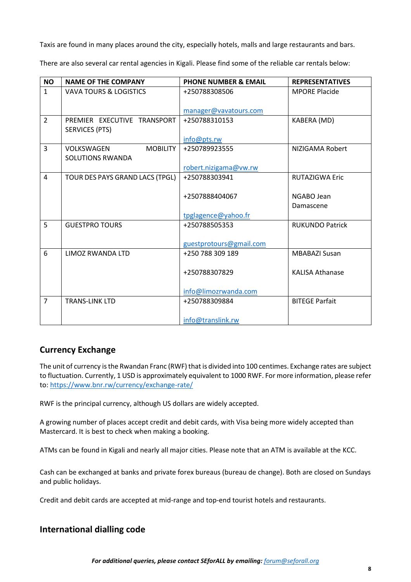Taxis are found in many places around the city, especially hotels, malls and large restaurants and bars.

There are also several car rental agencies in Kigali. Please find some of the reliable car rentals below:

| <b>NO</b>      | <b>NAME OF THE COMPANY</b>                               | <b>PHONE NUMBER &amp; EMAIL</b> | <b>REPRESENTATIVES</b> |
|----------------|----------------------------------------------------------|---------------------------------|------------------------|
| $\mathbf{1}$   | <b>VAVA TOURS &amp; LOGISTICS</b>                        | +250788308506                   | <b>MPORE Placide</b>   |
|                |                                                          |                                 |                        |
|                |                                                          | manager@vavatours.com           |                        |
| $\overline{2}$ | PREMIER EXECUTIVE TRANSPORT<br><b>SERVICES (PTS)</b>     | +250788310153                   | KABERA (MD)            |
|                |                                                          | info@pts.rw                     |                        |
| 3              | <b>MOBILITY</b><br>VOLKSWAGEN<br><b>SOLUTIONS RWANDA</b> | +250789923555                   | NIZIGAMA Robert        |
|                |                                                          | robert.nizigama@vw.rw           |                        |
| 4              | TOUR DES PAYS GRAND LACS (TPGL)                          | +250788303941                   | <b>RUTAZIGWA Eric</b>  |
|                |                                                          |                                 |                        |
|                |                                                          | +2507888404067                  | NGABO Jean             |
|                |                                                          |                                 | Damascene              |
|                |                                                          | tpglagence@yahoo.fr             |                        |
| 5              | <b>GUESTPRO TOURS</b>                                    | +250788505353                   | <b>RUKUNDO Patrick</b> |
|                |                                                          |                                 |                        |
|                |                                                          | guestprotours@gmail.com         |                        |
| 6              | LIMOZ RWANDA LTD                                         | +250 788 309 189                | <b>MBABAZI Susan</b>   |
|                |                                                          |                                 |                        |
|                |                                                          | +250788307829                   | <b>KALISA Athanase</b> |
|                |                                                          |                                 |                        |
|                |                                                          | info@limozrwanda.com            |                        |
| $\overline{7}$ | <b>TRANS-LINK LTD</b>                                    | +250788309884                   | <b>BITEGE Parfait</b>  |
|                |                                                          |                                 |                        |
|                |                                                          | info@translink.rw               |                        |

### **Currency Exchange**

The unit of currency is the Rwandan Franc (RWF) that is divided into 100 centimes. Exchange rates are subject to fluctuation. Currently, 1 USD is approximately equivalent to 1000 RWF. For more information, please refer to[: https://www.bnr.rw/currency/exchange-rate/](https://www.bnr.rw/currency/exchange-rate/) 

RWF is the principal currency, although US dollars are widely accepted.

A growing number of places accept credit and debit cards, with Visa being more widely accepted than Mastercard. It is best to check when making a booking.

ATMs can be found in Kigali and nearly all major cities. Please note that an ATM is available at the KCC.

Cash can be exchanged at banks and private forex bureaus (bureau de change). Both are closed on Sundays and public holidays.

Credit and debit cards are accepted at mid-range and top-end tourist hotels and restaurants.

### **International dialling code**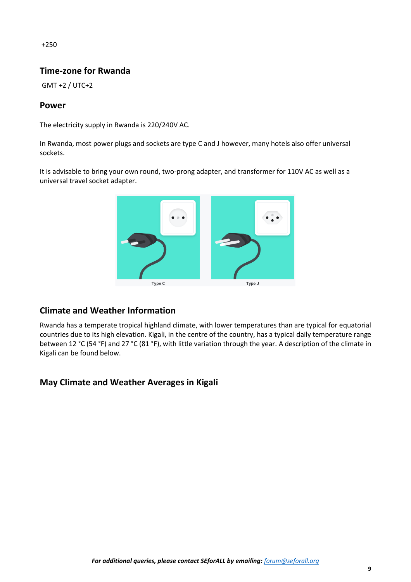### **Time-zone for Rwanda**

GMT +2 / UTC+2

### **Power**

The electricity supply in Rwanda is 220/240V AC.

In Rwanda, most power plugs and sockets are type C and J however, many hotels also offer universal sockets.

It is advisable to bring your own round, two-prong adapter, and transformer for 110V AC as well as a universal travel socket adapter.



### **Climate and Weather Information**

Rwanda has a temperate tropical highland climate, with lower temperatures than are typical for equatorial countries due to its high elevation. Kigali, in the centre of the country, has a typical daily temperature range between 12 °C (54 °F) and 27 °C (81 °F), with little variation through the year. A description of the climate in Kigali can be found below.

### **May Climate and Weather Averages in Kigali**

*For additional queries, please contact SEforALL by emailing: [forum@seforall.org](mailto:forum@seforall.org)*

+250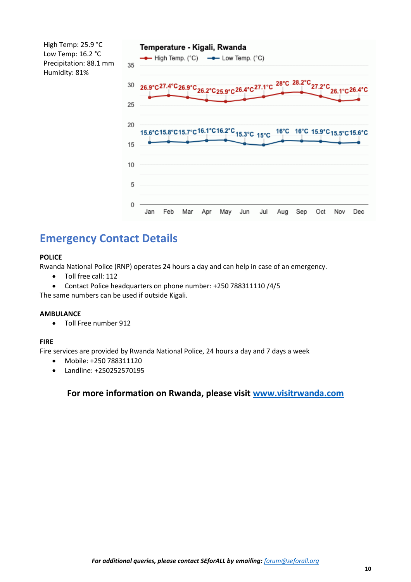High Temp: 25.9 °C Low Temp: 16.2 °C Precipitation: 88.1 mm Humidity: 81%



# **Emergency Contact Details**

#### **POLICE**

Rwanda National Police (RNP) operates 24 hours a day and can help in case of an emergency.

- Toll free call: 112
- Contact Police headquarters on phone number: +250 788311110 /4/5

The same numbers can be used if outside Kigali.

#### **AMBULANCE**

• Toll Free number 912

#### **FIRE**

Fire services are provided by Rwanda National Police, 24 hours a day and 7 days a week

- Mobile: +250 788311120
- Landline: +250252570195

### **For more information on Rwanda, please visit [www.visitrwanda.com](http://www.visitrwanda.com/)**